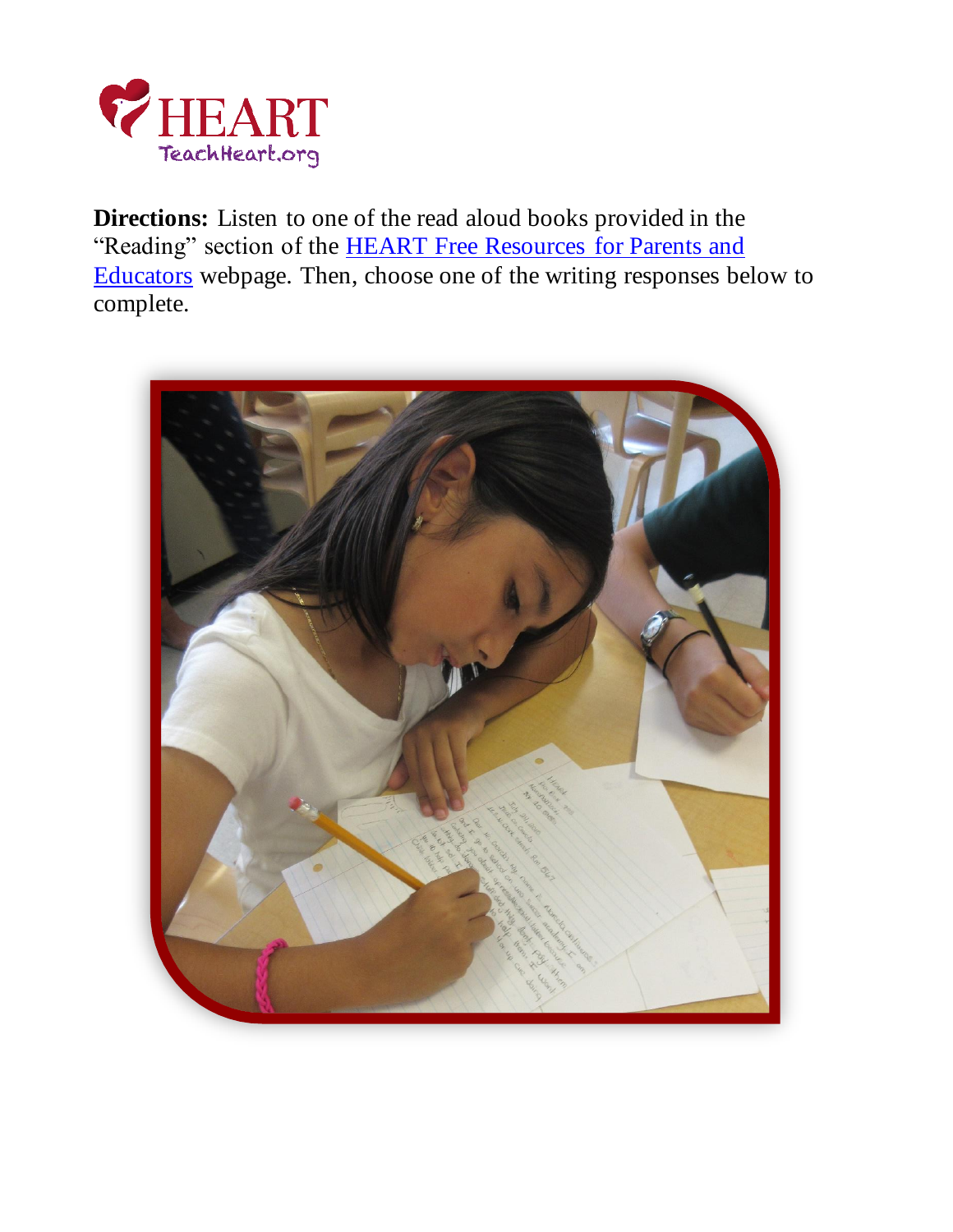

**Directions:** Listen to one of the read aloud books provided in the "Reading" section of the **HEART Free Resources** for Parents and [Educators](https://teachheart.org/education-resources-home-schooling-coronavirus/) webpage. Then, choose one of the writing responses below to complete.

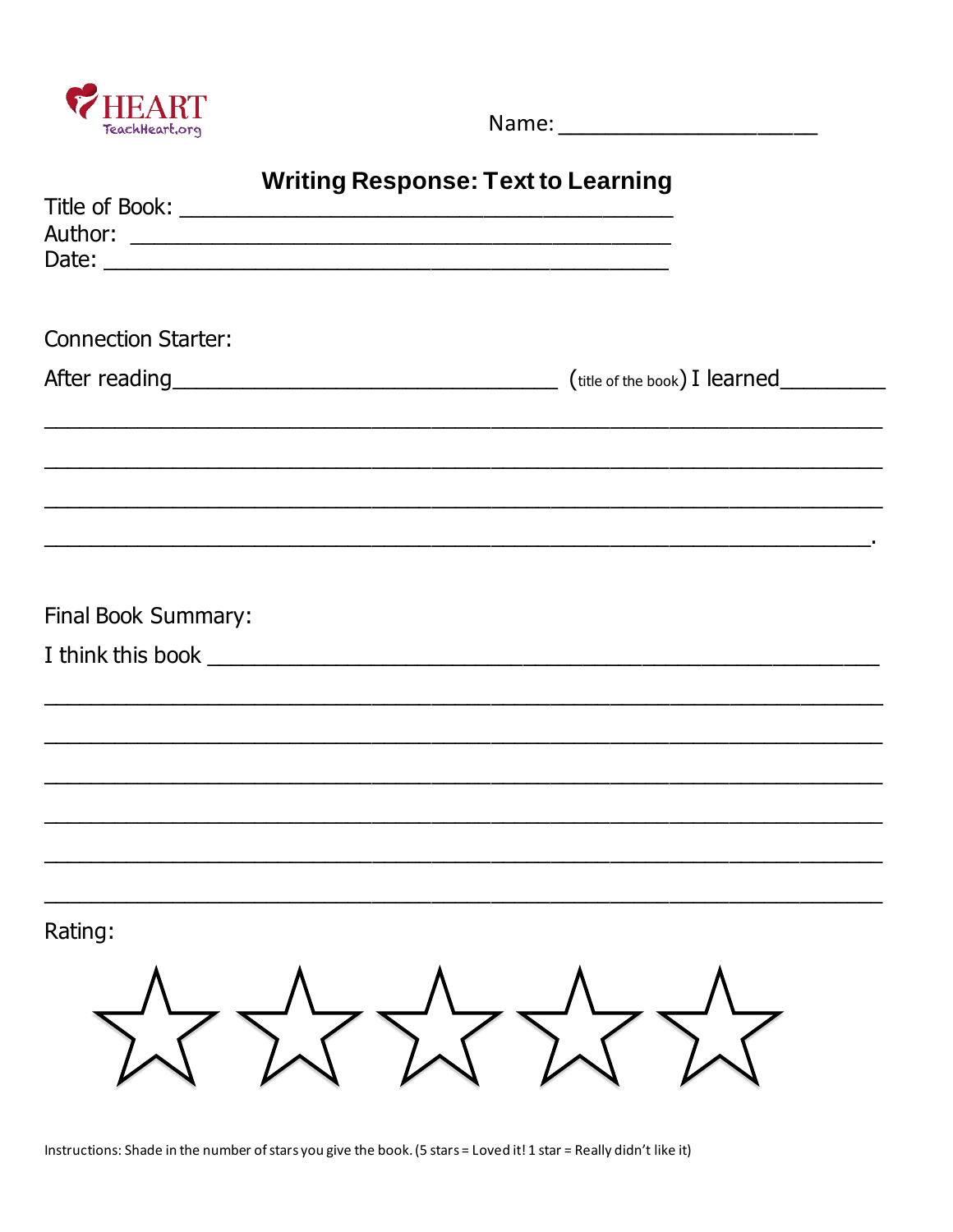

## **Writing Response: Text to Learning**

| <b>Connection Starter:</b> |  |
|----------------------------|--|
|                            |  |
|                            |  |
|                            |  |
|                            |  |
|                            |  |
|                            |  |
|                            |  |
| Final Book Summary:        |  |
|                            |  |
|                            |  |
|                            |  |
|                            |  |
|                            |  |
|                            |  |
|                            |  |
|                            |  |
| Rating:                    |  |
|                            |  |
|                            |  |
|                            |  |
|                            |  |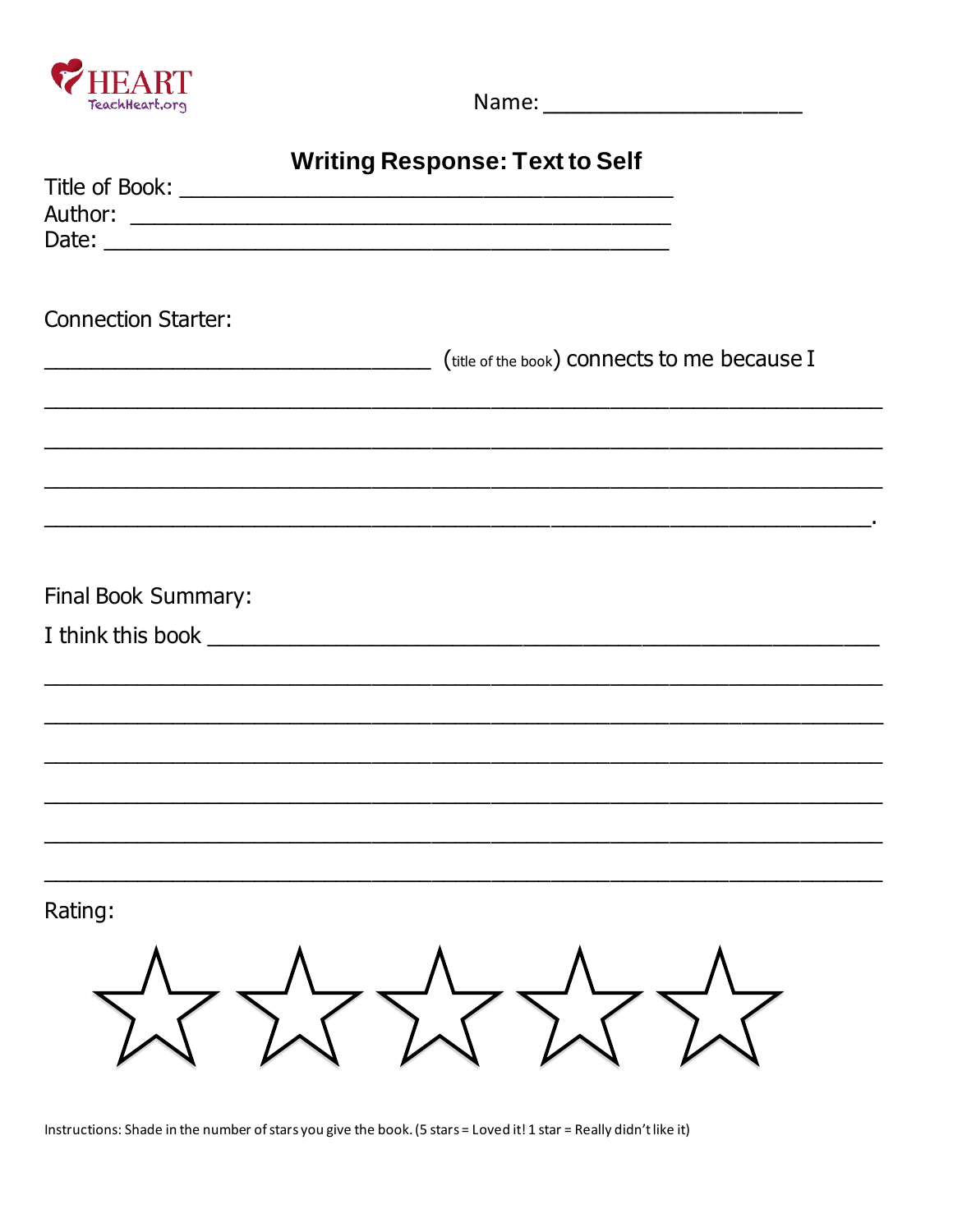

### **Writing Response: Text to Self**

| <b>Connection Starter:</b> |                                              |
|----------------------------|----------------------------------------------|
|                            | (title of the book) connects to me because I |
|                            |                                              |
|                            |                                              |
|                            |                                              |
|                            |                                              |
|                            |                                              |
| Final Book Summary:        |                                              |
|                            |                                              |
|                            |                                              |
|                            |                                              |
|                            |                                              |
|                            |                                              |
|                            |                                              |
|                            |                                              |
|                            |                                              |
| Rating:                    |                                              |
|                            |                                              |
|                            |                                              |
|                            |                                              |
|                            |                                              |
|                            |                                              |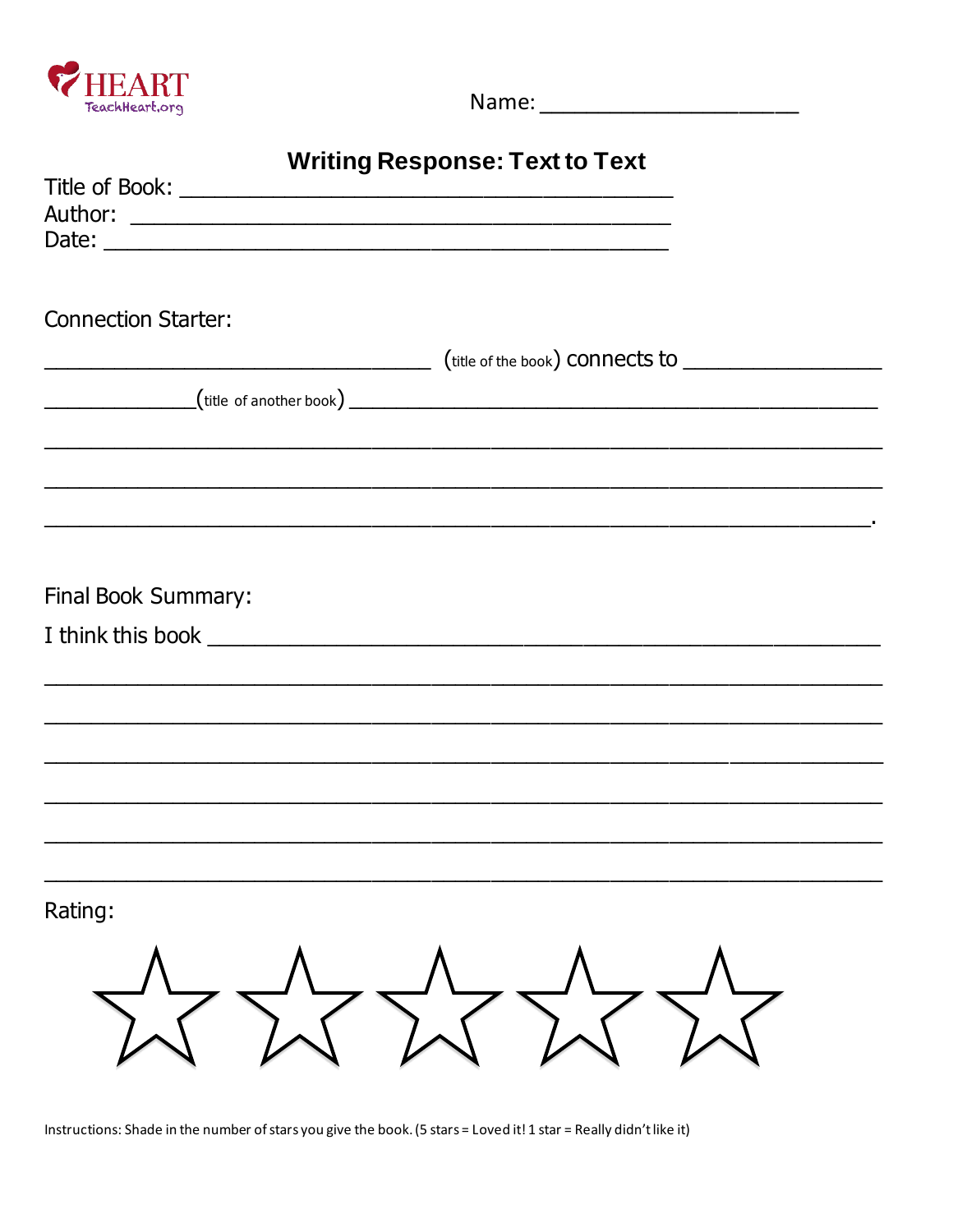

# **Writing Response: Text to Text**

| <b>Connection Starter:</b> |                                                                                                                      |
|----------------------------|----------------------------------------------------------------------------------------------------------------------|
|                            |                                                                                                                      |
|                            |                                                                                                                      |
|                            |                                                                                                                      |
|                            |                                                                                                                      |
|                            |                                                                                                                      |
|                            |                                                                                                                      |
|                            | ,我们也不会有什么。""我们的人,我们也不会有什么?""我们的人,我们也不会有什么?""我们的人,我们也不会有什么?""我们的人,我们也不会有什么?""我们的人                                     |
|                            |                                                                                                                      |
| Final Book Summary:        |                                                                                                                      |
|                            |                                                                                                                      |
|                            |                                                                                                                      |
|                            |                                                                                                                      |
|                            | <u> 1989 - Johann Stoff, amerikan bernama di sebagai bernama di sebagai bernama di sebagai bernama di sebagai be</u> |
|                            |                                                                                                                      |
|                            |                                                                                                                      |
|                            |                                                                                                                      |
|                            |                                                                                                                      |
|                            |                                                                                                                      |
|                            |                                                                                                                      |
| Rating:                    |                                                                                                                      |
|                            |                                                                                                                      |
|                            |                                                                                                                      |
|                            |                                                                                                                      |
|                            |                                                                                                                      |
|                            |                                                                                                                      |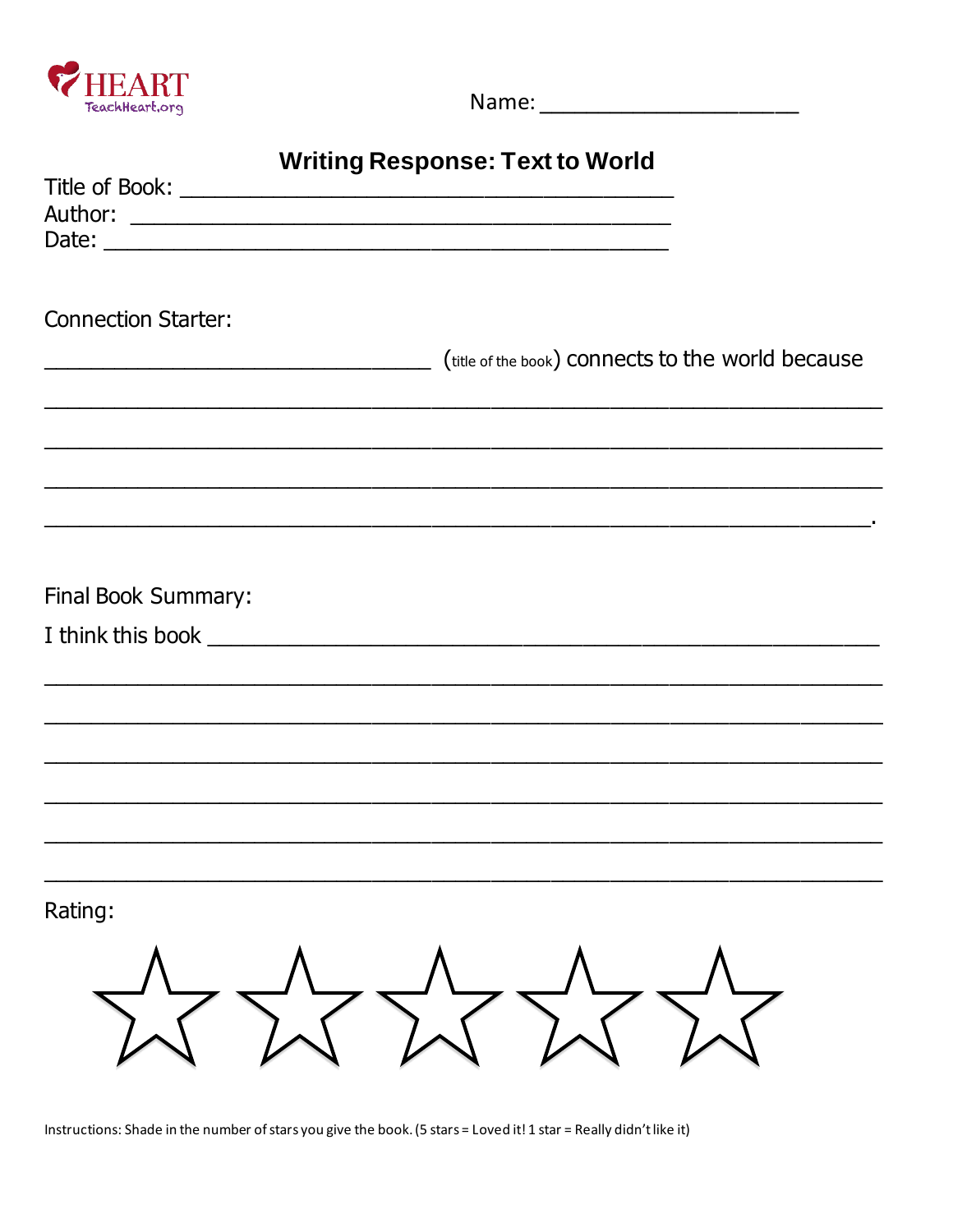

### **Writing Response: Text to World**

| <b>Connection Starter:</b> |                                                                                                                      |
|----------------------------|----------------------------------------------------------------------------------------------------------------------|
|                            |                                                                                                                      |
|                            | (title of the book) connects to the world because                                                                    |
|                            |                                                                                                                      |
|                            |                                                                                                                      |
|                            |                                                                                                                      |
|                            |                                                                                                                      |
|                            | <u> 1980 - Jan James James James James James James James James James James James James James James James James J</u> |
|                            |                                                                                                                      |
| Final Book Summary:        |                                                                                                                      |
|                            |                                                                                                                      |
|                            |                                                                                                                      |
|                            |                                                                                                                      |
|                            |                                                                                                                      |
|                            |                                                                                                                      |
|                            |                                                                                                                      |
|                            |                                                                                                                      |
|                            |                                                                                                                      |
|                            |                                                                                                                      |
| Rating:                    |                                                                                                                      |
|                            |                                                                                                                      |
|                            |                                                                                                                      |
|                            |                                                                                                                      |
|                            |                                                                                                                      |
|                            |                                                                                                                      |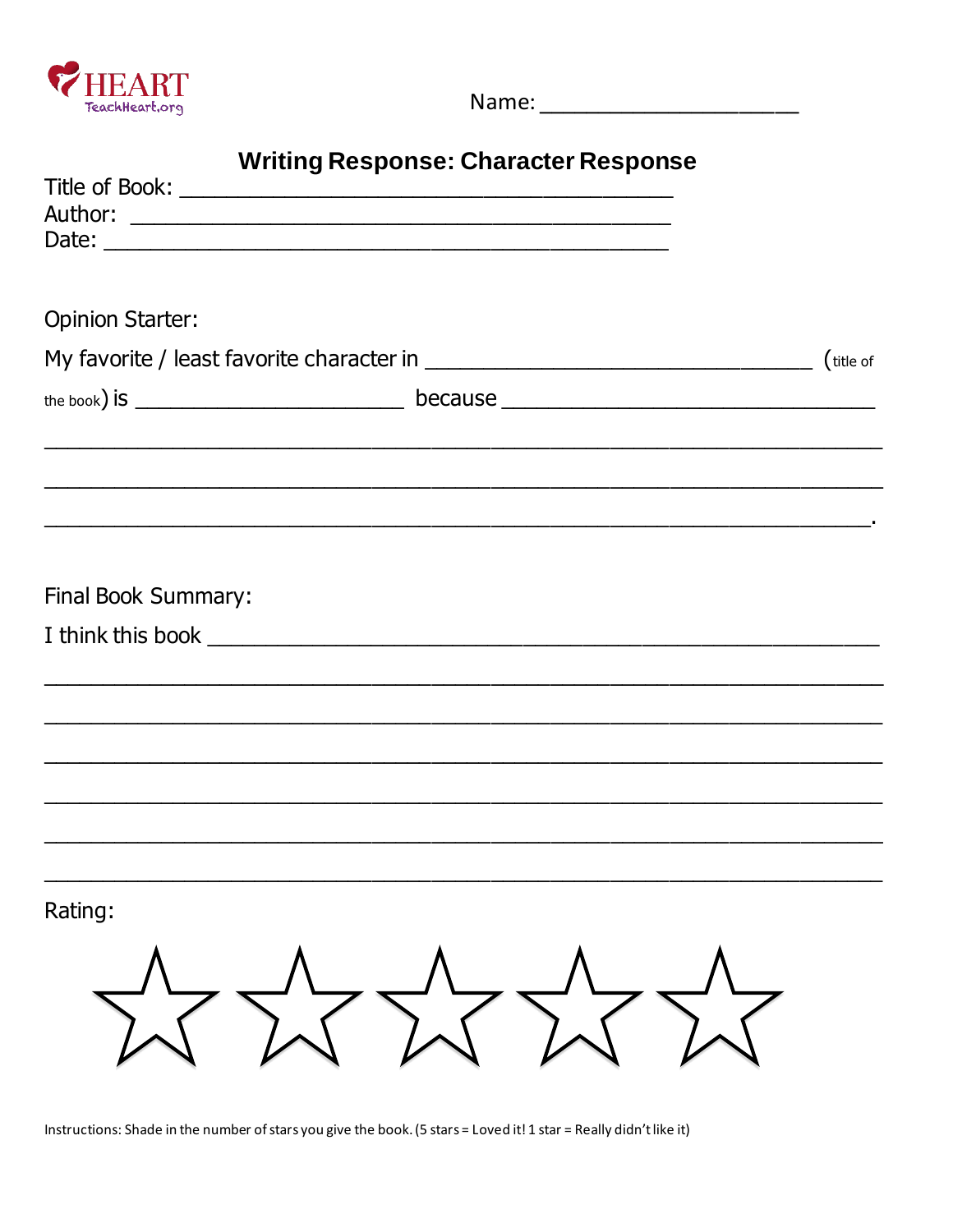

#### **Writing Response: Character Response**

| Date:                                                     |  |  |
|-----------------------------------------------------------|--|--|
|                                                           |  |  |
| <b>Opinion Starter:</b>                                   |  |  |
|                                                           |  |  |
|                                                           |  |  |
| <u> 1989 - Johann Stoff, amerikansk politik (f. 1989)</u> |  |  |
|                                                           |  |  |
|                                                           |  |  |
|                                                           |  |  |
| Final Book Summary:                                       |  |  |
|                                                           |  |  |
|                                                           |  |  |
|                                                           |  |  |
|                                                           |  |  |
|                                                           |  |  |
|                                                           |  |  |
|                                                           |  |  |
|                                                           |  |  |
| Rating:                                                   |  |  |
|                                                           |  |  |
|                                                           |  |  |
|                                                           |  |  |
|                                                           |  |  |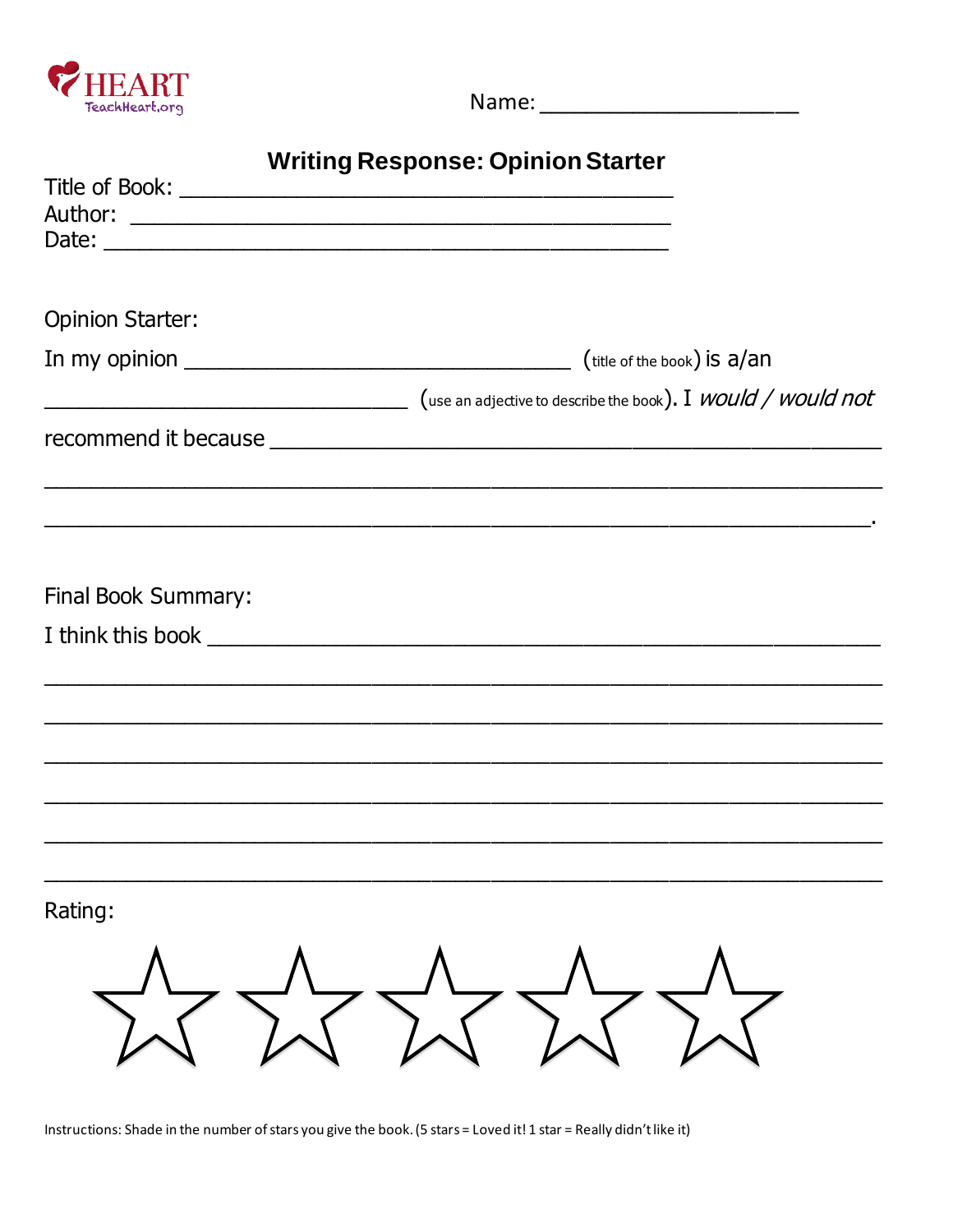

# **Writing Response: Opinion Starter**

| <b>Opinion Starter:</b> |                                                                                  |
|-------------------------|----------------------------------------------------------------------------------|
|                         |                                                                                  |
|                         | (use an adjective to describe the book). I WOUld / WOUld not                     |
|                         |                                                                                  |
|                         |                                                                                  |
| Final Book Summary:     |                                                                                  |
|                         |                                                                                  |
|                         | ,我们也不会有什么?""我们的人,我们也不会有什么?""我们的人,我们也不会有什么?""我们的人,我们也不会有什么?""我们的人,我们也不会有什么?""我们的人 |
|                         |                                                                                  |
|                         |                                                                                  |
|                         |                                                                                  |
| Rating:                 |                                                                                  |
|                         |                                                                                  |
|                         |                                                                                  |